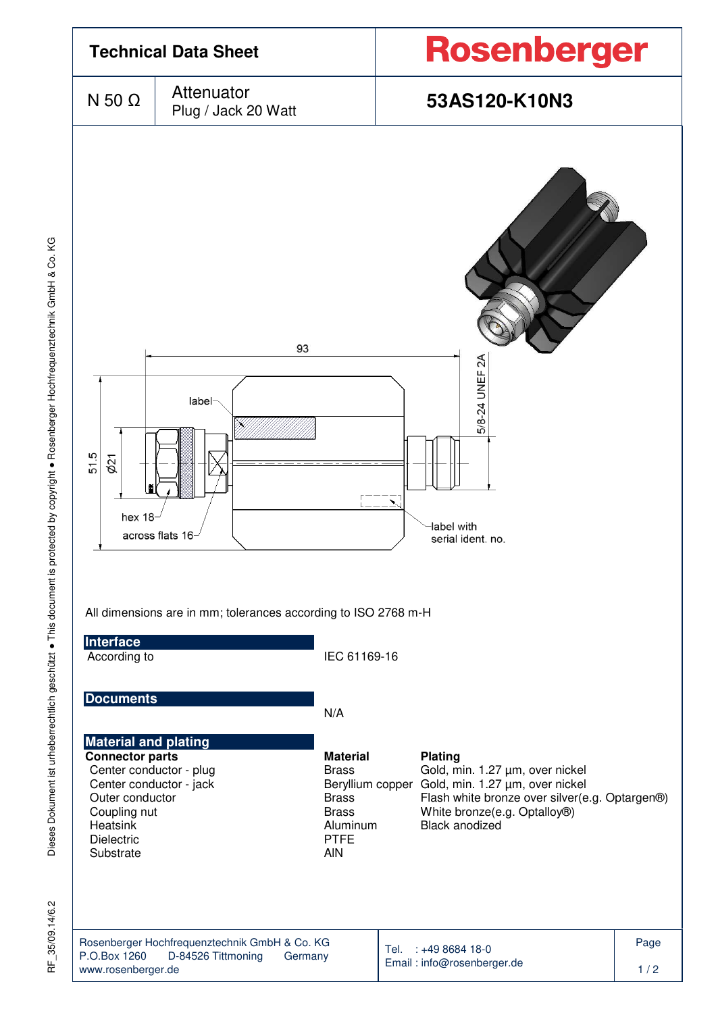

35/09.14/6.2 눈